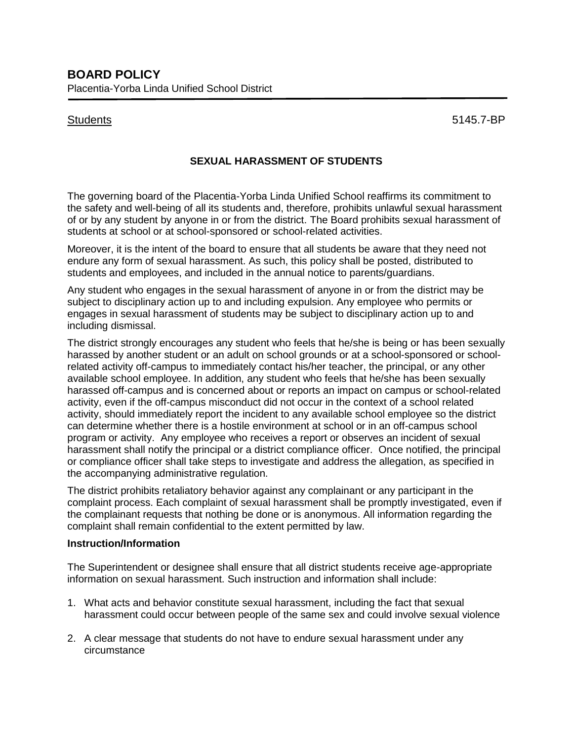Students 5145.7-BP

## **SEXUAL HARASSMENT OF STUDENTS**

The governing board of the Placentia-Yorba Linda Unified School reaffirms its commitment to the safety and well-being of all its students and, therefore, prohibits unlawful sexual harassment of or by any student by anyone in or from the district. The Board prohibits sexual harassment of students at school or at school-sponsored or school-related activities.

Moreover, it is the intent of the board to ensure that all students be aware that they need not endure any form of sexual harassment. As such, this policy shall be posted, distributed to students and employees, and included in the annual notice to parents/guardians.

Any student who engages in the sexual harassment of anyone in or from the district may be subject to disciplinary action up to and including expulsion. Any employee who permits or engages in sexual harassment of students may be subject to disciplinary action up to and including dismissal.

The district strongly encourages any student who feels that he/she is being or has been sexually harassed by another student or an adult on school grounds or at a school-sponsored or schoolrelated activity off-campus to immediately contact his/her teacher, the principal, or any other available school employee. In addition, any student who feels that he/she has been sexually harassed off-campus and is concerned about or reports an impact on campus or school-related activity, even if the off-campus misconduct did not occur in the context of a school related activity, should immediately report the incident to any available school employee so the district can determine whether there is a hostile environment at school or in an off-campus school program or activity. Any employee who receives a report or observes an incident of sexual harassment shall notify the principal or a district compliance officer. Once notified, the principal or compliance officer shall take steps to investigate and address the allegation, as specified in the accompanying administrative regulation.

The district prohibits retaliatory behavior against any complainant or any participant in the complaint process. Each complaint of sexual harassment shall be promptly investigated, even if the complainant requests that nothing be done or is anonymous. All information regarding the complaint shall remain confidential to the extent permitted by law.

## **Instruction/Information**

The Superintendent or designee shall ensure that all district students receive age-appropriate information on sexual harassment. Such instruction and information shall include:

- 1. What acts and behavior constitute sexual harassment, including the fact that sexual harassment could occur between people of the same sex and could involve sexual violence
- 2. A clear message that students do not have to endure sexual harassment under any circumstance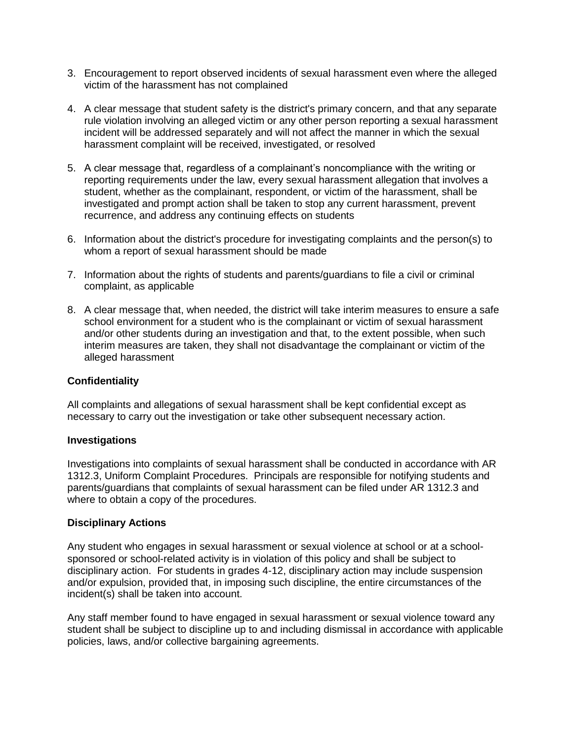- 3. Encouragement to report observed incidents of sexual harassment even where the alleged victim of the harassment has not complained
- 4. A clear message that student safety is the district's primary concern, and that any separate rule violation involving an alleged victim or any other person reporting a sexual harassment incident will be addressed separately and will not affect the manner in which the sexual harassment complaint will be received, investigated, or resolved
- 5. A clear message that, regardless of a complainant's noncompliance with the writing or reporting requirements under the law, every sexual harassment allegation that involves a student, whether as the complainant, respondent, or victim of the harassment, shall be investigated and prompt action shall be taken to stop any current harassment, prevent recurrence, and address any continuing effects on students
- 6. Information about the district's procedure for investigating complaints and the person(s) to whom a report of sexual harassment should be made
- 7. Information about the rights of students and parents/guardians to file a civil or criminal complaint, as applicable
- 8. A clear message that, when needed, the district will take interim measures to ensure a safe school environment for a student who is the complainant or victim of sexual harassment and/or other students during an investigation and that, to the extent possible, when such interim measures are taken, they shall not disadvantage the complainant or victim of the alleged harassment

## **Confidentiality**

All complaints and allegations of sexual harassment shall be kept confidential except as necessary to carry out the investigation or take other subsequent necessary action.

## **Investigations**

Investigations into complaints of sexual harassment shall be conducted in accordance with AR 1312.3, Uniform Complaint Procedures. Principals are responsible for notifying students and parents/guardians that complaints of sexual harassment can be filed under AR 1312.3 and where to obtain a copy of the procedures.

## **Disciplinary Actions**

Any student who engages in sexual harassment or sexual violence at school or at a schoolsponsored or school-related activity is in violation of this policy and shall be subject to disciplinary action. For students in grades 4-12, disciplinary action may include suspension and/or expulsion, provided that, in imposing such discipline, the entire circumstances of the incident(s) shall be taken into account.

Any staff member found to have engaged in sexual harassment or sexual violence toward any student shall be subject to discipline up to and including dismissal in accordance with applicable policies, laws, and/or collective bargaining agreements.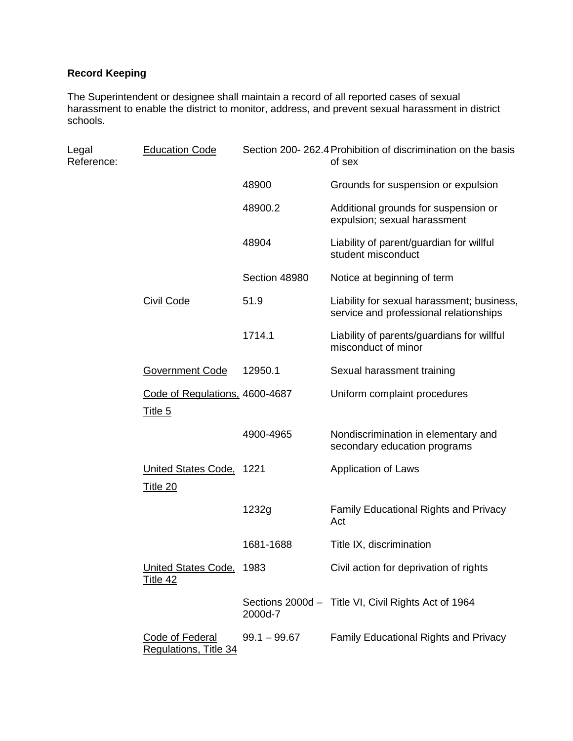# **Record Keeping**

The Superintendent or designee shall maintain a record of all reported cases of sexual harassment to enable the district to monitor, address, and prevent sexual harassment in district schools.

| Legal<br>Reference: | <b>Education Code</b>                            | Section 200-262.4 Prohibition of discrimination on the basis<br>of sex |                                                                                      |
|---------------------|--------------------------------------------------|------------------------------------------------------------------------|--------------------------------------------------------------------------------------|
|                     |                                                  | 48900                                                                  | Grounds for suspension or expulsion                                                  |
|                     |                                                  | 48900.2                                                                | Additional grounds for suspension or<br>expulsion; sexual harassment                 |
|                     |                                                  | 48904                                                                  | Liability of parent/guardian for willful<br>student misconduct                       |
|                     |                                                  | Section 48980                                                          | Notice at beginning of term                                                          |
|                     | <b>Civil Code</b>                                | 51.9                                                                   | Liability for sexual harassment; business,<br>service and professional relationships |
|                     |                                                  | 1714.1                                                                 | Liability of parents/guardians for willful<br>misconduct of minor                    |
|                     | <b>Government Code</b>                           | 12950.1                                                                | Sexual harassment training                                                           |
|                     | Code of Regulations, 4600-4687<br><u>Title 5</u> |                                                                        | Uniform complaint procedures                                                         |
|                     |                                                  | 4900-4965                                                              | Nondiscrimination in elementary and<br>secondary education programs                  |
|                     | United States Code, 1221<br><b>Title 20</b>      |                                                                        | <b>Application of Laws</b>                                                           |
|                     |                                                  | 1232g                                                                  | <b>Family Educational Rights and Privacy</b><br>Act                                  |
|                     |                                                  | 1681-1688                                                              | Title IX, discrimination                                                             |
|                     | United States Code, 1983<br><u>Title 42</u>      |                                                                        | Civil action for deprivation of rights                                               |
|                     |                                                  | 2000d-7                                                                | Sections 2000d - Title VI, Civil Rights Act of 1964                                  |
|                     | <b>Code of Federal</b><br>Regulations, Title 34  | $99.1 - 99.67$                                                         | Family Educational Rights and Privacy                                                |